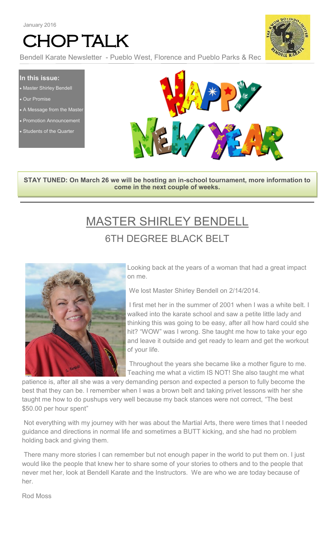# CHOP TALK



Bendell Karate Newsletter - Pueblo West, Florence and Pueblo Parks & Rec

**In this issue:** • Master Shirley Bendell

- Our Promise
- A Message from the Master
- Promotion Announcement
- Students of the Quarter



**STAY TUNED: On March 26 we will be hosting an in-school tournament, more information to come in the next couple of weeks.**

# MASTER SHIRLEY BENDELL 6TH DEGREE BLACK BELT



Looking back at the years of a woman that had a great impact on me.

We lost Master Shirley Bendell on 2/14/2014.

I first met her in the summer of 2001 when I was a white belt. I walked into the karate school and saw a petite little lady and thinking this was going to be easy, after all how hard could she hit? "WOW" was I wrong. She taught me how to take your ego and leave it outside and get ready to learn and get the workout of your life.

Throughout the years she became like a mother figure to me. Teaching me what a victim IS NOT! She also taught me what

patience is, after all she was a very demanding person and expected a person to fully become the best that they can be. I remember when I was a brown belt and taking privet lessons with her she taught me how to do pushups very well because my back stances were not correct, "The best \$50.00 per hour spent"

Not everything with my journey with her was about the Martial Arts, there were times that I needed guidance and directions in normal life and sometimes a BUTT kicking, and she had no problem holding back and giving them.

There many more stories I can remember but not enough paper in the world to put them on. I just would like the people that knew her to share some of your stories to others and to the people that never met her, look at Bendell Karate and the Instructors. We are who we are today because of her.

Rod Moss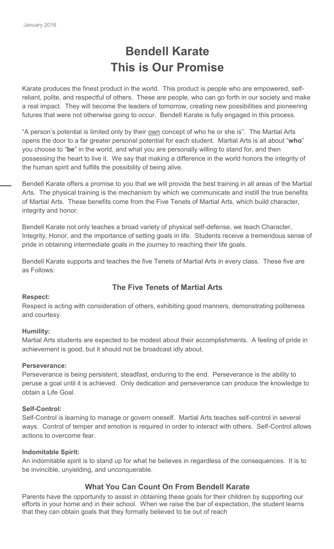# **Bendell Karate This is Our Promise**

Karate produces the finest product in the world. This product is people who are empowered, selfreliant, polite, and respectful of others. These are people, who can go forth in our society and make a real impact. They will become the leaders of tomorrow, creating new possibilities and pioneering futures that were not otherwise going to occur. Bendell Karate is fully engaged in this process.

"A person's potential is limited only by their own concept of who he or she is". The Martial Arts opens the door to a far greater personal potential for each student. Martial Arts is all about "**who**" you choose to "**be**" in the world, and what you are personally willing to stand for, and then possessing the heart to live it. We say that making a difference in the world honors the integrity of the human spirit and fulfills the possibility of being alive.

Bendell Karate offers a promise to you that we will provide the best training in all areas of the Martial Arts. The physical training is the mechanism by which we communicate and instill the true benefits of Martial Arts. These benefits come from the Five Tenets of Martial Arts, which build character, integrity and honor.

Bendell Karate not only teaches a broad variety of physical self-defense, we teach Character, Integrity, Honor, and the importance of setting goals in life. Students receive a tremendous sense of pride in obtaining intermediate goals in the journey to reaching their life goals.

Bendell Karate supports and teaches the five Tenets of Martial Arts in every class. These five are as Follows:

### **The Five Tenets of Martial Arts**

#### **Respect:**

Respect is acting with consideration of others, exhibiting good manners, demonstrating politeness and courtesy.

#### **Humility:**

Martial Arts students are expected to be modest about their accomplishments. A feeling of pride in achievement is good, but it should not be broadcast idly about.

#### **Perseverance:**

Perseverance is being persistent, steadfast, enduring to the end. Perseverance is the ability to peruse a goal until it is achieved. Only dedication and perseverance can produce the knowledge to obtain a Life Goal.

#### **Self-Control:**

Self-Control is learning to manage or govern oneself. Martial Arts teaches self-control in several ways. Control of temper and emotion is required in order to interact with others. Self-Control allows actions to overcome fear.

#### **Indomitable Spirit:**

An indomitable spirit is to stand up for what he believes in regardless of the consequences. It is to be invincible, unyielding, and unconquerable.

### **What You Can Count On From Bendell Karate**

Parents have the opportunity to assist in obtaining these goals for their children by supporting our efforts in your home and in their school. When we raise the bar of expectation, the student learns that they can obtain goals that they formally believed to be out of reach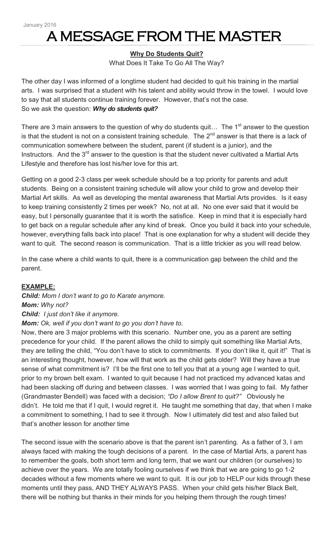# A MESSAGE FROM THE MASTER

#### **Why Do Students Quit?**

What Does It Take To Go All The Way?

The other day I was informed of a longtime student had decided to quit his training in the martial arts. I was surprised that a student with his talent and ability would throw in the towel. I would love to say that all students continue training forever. However, that's not the case. So we ask the question: *Why do students quit?*

There are 3 main answers to the question of why do students quit... The  $1<sup>st</sup>$  answer to the question is that the student is not on a consistent training schedule. The  $2^{nd}$  answer is that there is a lack of communication somewhere between the student, parent (if student is a junior), and the Instructors. And the  $3<sup>rd</sup>$  answer to the question is that the student never cultivated a Martial Arts Lifestyle and therefore has lost his/her love for this art.

Getting on a good 2-3 class per week schedule should be a top priority for parents and adult students. Being on a consistent training schedule will allow your child to grow and develop their Martial Art skills. As well as developing the mental awareness that Martial Arts provides. Is it easy to keep training consistently 2 times per week? No, not at all. No one ever said that it would be easy, but I personally guarantee that it is worth the satisfice. Keep in mind that it is especially hard to get back on a regular schedule after any kind of break. Once you build it back into your schedule, however, everything falls back into place! That is one explanation for why a student will decide they want to quit. The second reason is communication. That is a little trickier as you will read below.

In the case where a child wants to quit, there is a communication gap between the child and the parent.

#### **EXAMPLE:**

*Child: Mom I don't want to go to Karate anymore. Mom: Why not? Child: I just don't like it anymore. Mom: Ok, well if you don't want to go you don't have to.*

Now, there are 3 major problems with this scenario. Number one, you as a parent are setting precedence for your child. If the parent allows the child to simply quit something like Martial Arts, they are telling the child, "You don't have to stick to commitments. If you don't like it, quit it!" That is an interesting thought, however, how will that work as the child gets older? Will they have a true sense of what commitment is? I'll be the first one to tell you that at a young age I wanted to quit, prior to my brown belt exam. I wanted to quit because I had not practiced my advanced katas and had been slacking off during and between classes. I was worried that I was going to fail. My father (Grandmaster Bendell) was faced with a decision; *"Do I allow Brent to quit?"* Obviously he didn't. He told me that if I quit, I would regret it. He taught me something that day, that when I make a commitment to something, I had to see it through. Now I ultimately did test and also failed but that's another lesson for another time

The second issue with the scenario above is that the parent isn't parenting. As a father of 3, I am always faced with making the tough decisions of a parent. In the case of Martial Arts, a parent has to remember the goals, both short term and long term, that we want our children (or ourselves) to achieve over the years. We are totally fooling ourselves if we think that we are going to go 1-2 decades without a few moments where we want to quit. It is our job to HELP our kids through these moments until they pass, AND THEY ALWAYS PASS. When your child gets his/her Black Belt, there will be nothing but thanks in their minds for you helping them through the rough times!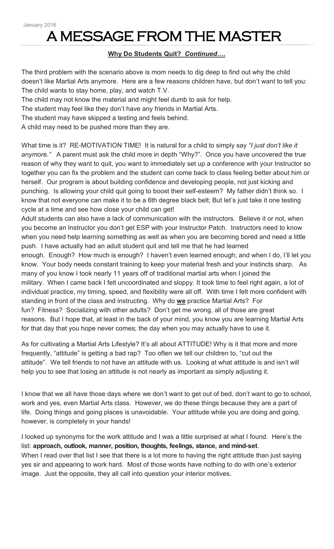# A MESSAGE FROM THE MASTER

### **Why Do Students Quit?** *Continued….*

The third problem with the scenario above is mom needs to dig deep to find out why the child doesn't like Martial Arts anymore. Here are a few reasons children have, but don't want to tell you: The child wants to stay home, play, and watch T.V.

The child may not know the material and might feel dumb to ask for help.

The student may feel like they don't have any friends in Martial Arts.

The student may have skipped a testing and feels behind.

A child may need to be pushed more than they are.

What time is it? RE-MOTIVATION TIME! It is natural for a child to simply say *"I just don't like it anymore."* A parent must ask the child more in depth "Why?". Once you have uncovered the true reason of why they want to quit, you want to immediately set up a conference with your Instructor so together you can fix the problem and the student can come back to class feeling better about him or herself. Our program is about building confidence and developing people, not just kicking and punching. Is allowing your child quit going to boost their self-esteem? My father didn't think so. I know that not everyone can make it to be a 6th degree black belt; But let's just take it one testing cycle at a time and see how close your child can get!

Adult students can also have a lack of communication with the instructors. Believe it or not, when you become an Instructor you don't get ESP with your Instructor Patch. Instructors need to know when you need help learning something as well as when you are becoming bored and need a little push. I have actually had an adult student quit and tell me that he had learned enough. Enough? How much is enough? I haven't even learned enough; and when I do, I'll let you know. Your body needs constant training to keep your material fresh and your instincts sharp. As many of you know I took nearly 11 years off of traditional martial arts when I joined the military. When I came back I felt uncoordinated and sloppy. It took time to feel right again, a lot of individual practice, my timing, speed, and flexibility were all off. With time I felt more confident with standing in front of the class and instructing. Why do **we** practice Martial Arts? For fun? Fitness? Socializing with other adults? Don't get me wrong, all of those are great reasons. But I hope that, at least in the back of your mind, you know you are learning Martial Arts for that day that you hope never comes; the day when you may actually have to use it.

As for cultivating a Martial Arts Lifestyle? It's all about ATTITUDE! Why is it that more and more frequently, "attitude" is getting a bad rap? Too often we tell our children to, "cut out the attitude". We tell friends to not have an attitude with us. Looking at what attitude is and isn't will help you to see that losing an attitude is not nearly as important as simply adjusting it.

I know that we all have those days where we don't want to get out of bed, don't want to go to school, work and yes, even Martial Arts class. However, we do these things because they are a part of life. Doing things and going places is unavoidable. Your attitude while you are doing and going, however, is completely in your hands!

I looked up synonyms for the work attitude and I was a little surprised at what I found. Here's the list: **approach, outlook, manner, position, thoughts, feelings, stance, and mind-set**. When I read over that list I see that there is a lot more to having the right attitude than just saying yes sir and appearing to work hard. Most of those words have nothing to do with one's exterior image. Just the opposite, they all call into question your interior motives.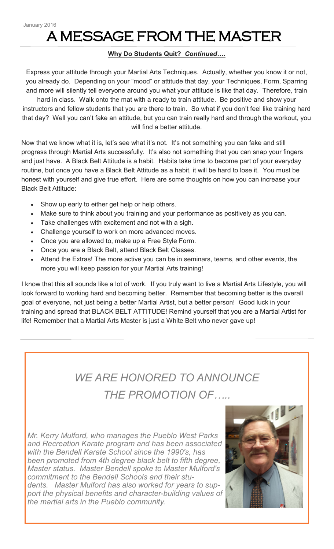# A MESSAGE FROM THE MASTER

### **Why Do Students Quit?** *Continued….*

Express your attitude through your Martial Arts Techniques. Actually, whether you know it or not, you already do. Depending on your "mood" or attitude that day, your Techniques, Form, Sparring and more will silently tell everyone around you what your attitude is like that day. Therefore, train

hard in class. Walk onto the mat with a ready to train attitude. Be positive and show your instructors and fellow students that you are there to train. So what if you don't feel like training hard that day? Well you can't fake an attitude, but you can train really hard and through the workout, you will find a better attitude.

Now that we know what it is, let's see what it's not. It's not something you can fake and still progress through Martial Arts successfully. It's also not something that you can snap your fingers and just have. A Black Belt Attitude is a habit. Habits take time to become part of your everyday routine, but once you have a Black Belt Attitude as a habit, it will be hard to lose it. You must be honest with yourself and give true effort. Here are some thoughts on how you can increase your Black Belt Attitude:

- Show up early to either get help or help others.
- Make sure to think about you training and your performance as positively as you can.
- Take challenges with excitement and not with a sigh.
- Challenge yourself to work on more advanced moves.
- Once you are allowed to, make up a Free Style Form.
- Once you are a Black Belt, attend Black Belt Classes.
- Attend the Extras! The more active you can be in seminars, teams, and other events, the more you will keep passion for your Martial Arts training!

I know that this all sounds like a lot of work. If you truly want to live a Martial Arts Lifestyle, you will look forward to working hard and becoming better. Remember that becoming better is the overall goal of everyone, not just being a better Martial Artist, but a better person! Good luck in your training and spread that BLACK BELT ATTITUDE! Remind yourself that you are a Martial Artist for life! Remember that a Martial Arts Master is just a White Belt who never gave up!

## *WE ARE HONORED TO ANNOUNCE THE PROMOTION OF…..*

*Mr. Kerry Mulford, who manages the Pueblo West Parks and Recreation Karate program and has been associated with the Bendell Karate School since the 1990's, has been promoted from 4th degree black belt to fifth degree, Master status. Master Bendell spoke to Master Mulford's commitment to the Bendell Schools and their students. Master Mulford has also worked for years to support the physical benefits and character-building values of the martial arts in the Pueblo community.*